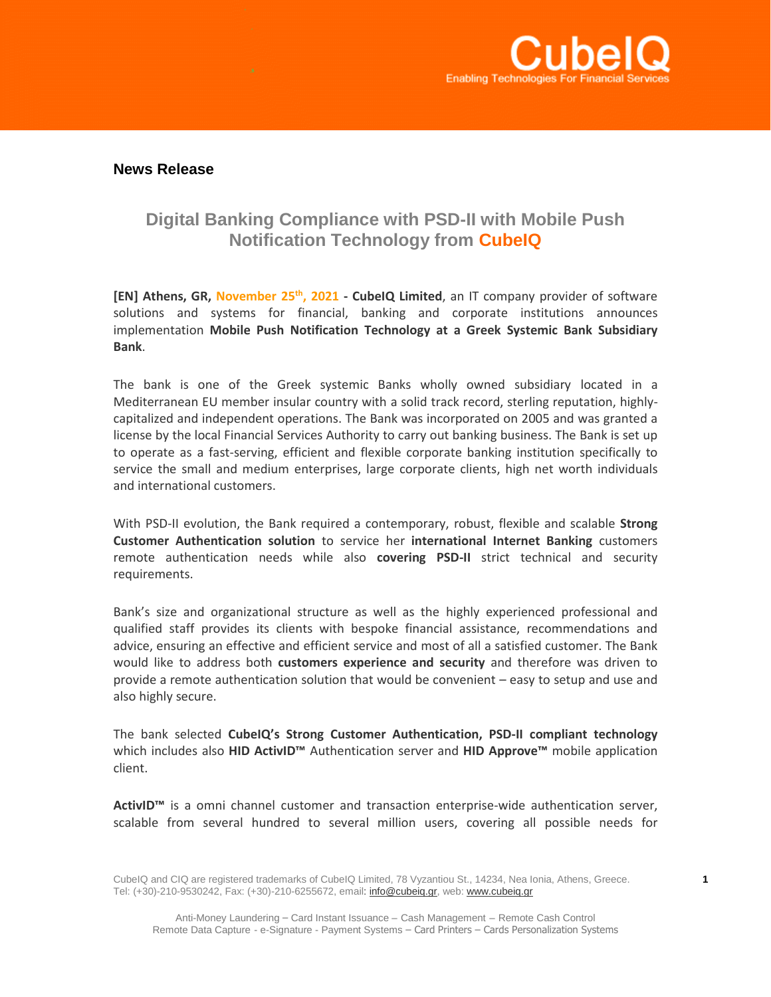

## **News Release**

## **Digital Banking Compliance with PSD-II with Mobile Push Notification Technology from CubeIQ**

**[EN] Athens, GR, November 25th , 2021 - CubeIQ Limited**, an IT company provider of software solutions and systems for financial, banking and corporate institutions announces implementation **Mobile Push Notification Technology at a Greek Systemic Bank Subsidiary Bank**.

The bank is one of the Greek systemic Banks wholly owned subsidiary located in a Mediterranean EU member insular country with a solid track record, sterling reputation, highlycapitalized and independent operations. The Bank was incorporated on 2005 and was granted a license by the local Financial Services Authority to carry out banking business. The Bank is set up to operate as a fast-serving, efficient and flexible corporate banking institution specifically to service the small and medium enterprises, large corporate clients, high net worth individuals and international customers.

With PSD-II evolution, the Bank required a contemporary, robust, flexible and scalable **Strong Customer Authentication solution** to service her **international Internet Banking** customers remote authentication needs while also **covering PSD-II** strict technical and security requirements.

Bank's size and organizational structure as well as the highly experienced professional and qualified staff provides its clients with bespoke financial assistance, recommendations and advice, ensuring an effective and efficient service and most of all a satisfied customer. The Bank would like to address both **customers experience and security** and therefore was driven to provide a remote authentication solution that would be convenient – easy to setup and use and also highly secure.

The bank selected **CubeIQ's Strong Customer Authentication, PSD-II compliant technology** which includes also **HID ActivID™** Authentication server and **HID Approve™** mobile application client.

**ActivID™** is a omni channel customer and transaction enterprise-wide authentication server, scalable from several hundred to several million users, covering all possible needs for

CubeIQ and CIQ are registered trademarks of CubeIQ Limited, 78 Vyzantiou St., 14234, Nea Ionia, Athens, Greece. **1** Tel: (+30)-210-9530242, Fax: (+30)-210-6255672, email: *info@cubeiq.gr*, web[: www.cubeiq.gr](http://www.cubeiq.gr/)